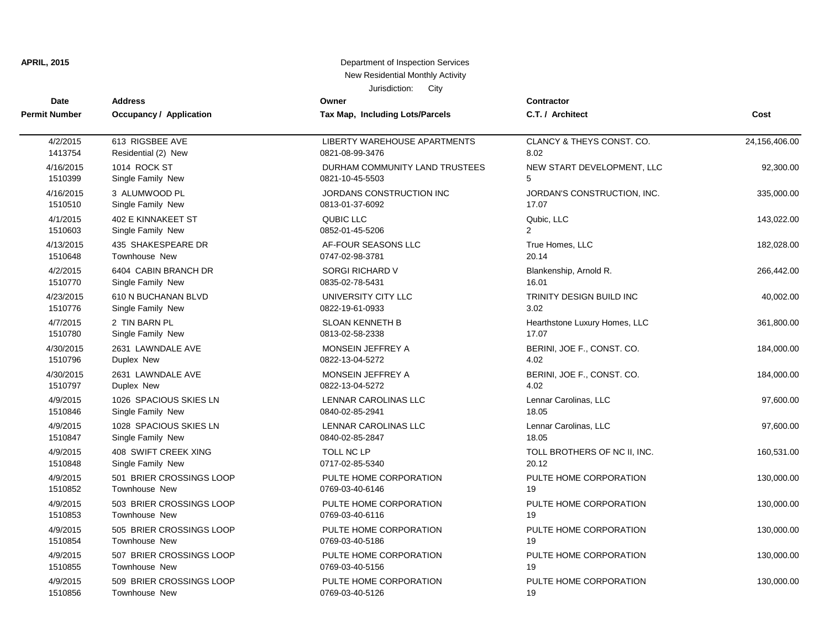| Jurisdiction:<br>City<br><b>Address</b><br><b>Contractor</b><br>Date<br>Owner |                                |                                 |                               |               |
|-------------------------------------------------------------------------------|--------------------------------|---------------------------------|-------------------------------|---------------|
| Permit Number                                                                 | <b>Occupancy / Application</b> | Tax Map, Including Lots/Parcels | C.T. / Architect              | Cost          |
| 4/2/2015                                                                      | 613 RIGSBEE AVE                | LIBERTY WAREHOUSE APARTMENTS    | CLANCY & THEYS CONST. CO.     | 24,156,406.00 |
| 1413754                                                                       | Residential (2) New            | 0821-08-99-3476                 | 8.02                          |               |
| 4/16/2015                                                                     | 1014 ROCK ST                   | DURHAM COMMUNITY LAND TRUSTEES  | NEW START DEVELOPMENT, LLC    | 92,300.00     |
| 1510399                                                                       | Single Family New              | 0821-10-45-5503                 | 5                             |               |
| 4/16/2015                                                                     | 3 ALUMWOOD PL                  | JORDANS CONSTRUCTION INC        | JORDAN'S CONSTRUCTION, INC.   | 335,000.00    |
| 1510510                                                                       | Single Family New              | 0813-01-37-6092                 | 17.07                         |               |
| 4/1/2015                                                                      | 402 E KINNAKEET ST             | QUBIC LLC                       | Qubic, LLC                    | 143,022.00    |
| 1510603                                                                       | Single Family New              | 0852-01-45-5206                 | $\overline{2}$                |               |
| 4/13/2015                                                                     | 435 SHAKESPEARE DR             | AF-FOUR SEASONS LLC             | True Homes, LLC               | 182,028.00    |
| 1510648                                                                       | <b>Townhouse New</b>           | 0747-02-98-3781                 | 20.14                         |               |
| 4/2/2015                                                                      | 6404 CABIN BRANCH DR           | <b>SORGI RICHARD V</b>          | Blankenship, Arnold R.        | 266,442.00    |
| 1510770                                                                       | Single Family New              | 0835-02-78-5431                 | 16.01                         |               |
| 4/23/2015                                                                     | 610 N BUCHANAN BLVD            | UNIVERSITY CITY LLC             | TRINITY DESIGN BUILD INC      | 40,002.00     |
| 1510776                                                                       | Single Family New              | 0822-19-61-0933                 | 3.02                          |               |
| 4/7/2015                                                                      | 2 TIN BARN PL                  | <b>SLOAN KENNETH B</b>          | Hearthstone Luxury Homes, LLC | 361,800.00    |
| 1510780                                                                       | Single Family New              | 0813-02-58-2338                 | 17.07                         |               |
| 4/30/2015                                                                     | 2631 LAWNDALE AVE              | MONSEIN JEFFREY A               | BERINI, JOE F., CONST. CO.    | 184,000.00    |
| 1510796                                                                       | Duplex New                     | 0822-13-04-5272                 | 4.02                          |               |
| 4/30/2015                                                                     | 2631 LAWNDALE AVE              | MONSEIN JEFFREY A               | BERINI, JOE F., CONST. CO.    | 184,000.00    |
| 1510797                                                                       | Duplex New                     | 0822-13-04-5272                 | 4.02                          |               |
| 4/9/2015                                                                      | 1026 SPACIOUS SKIES LN         | LENNAR CAROLINAS LLC            | Lennar Carolinas, LLC         | 97,600.00     |
| 1510846                                                                       | Single Family New              | 0840-02-85-2941                 | 18.05                         |               |
| 4/9/2015                                                                      | 1028 SPACIOUS SKIES LN         | LENNAR CAROLINAS LLC            | Lennar Carolinas, LLC         | 97,600.00     |
| 1510847                                                                       | Single Family New              | 0840-02-85-2847                 | 18.05                         |               |
| 4/9/2015                                                                      | 408 SWIFT CREEK XING           | TOLL NC LP                      | TOLL BROTHERS OF NC II, INC.  | 160,531.00    |
| 1510848                                                                       | Single Family New              | 0717-02-85-5340                 | 20.12                         |               |
| 4/9/2015                                                                      | 501 BRIER CROSSINGS LOOP       | PULTE HOME CORPORATION          | PULTE HOME CORPORATION        | 130,000.00    |
| 1510852                                                                       | Townhouse New                  | 0769-03-40-6146                 | 19                            |               |
| 4/9/2015                                                                      | 503 BRIER CROSSINGS LOOP       | PULTE HOME CORPORATION          | PULTE HOME CORPORATION        | 130,000.00    |
| 1510853                                                                       | Townhouse New                  | 0769-03-40-6116                 | 19                            |               |
| 4/9/2015                                                                      | 505 BRIER CROSSINGS LOOP       | PULTE HOME CORPORATION          | PULTE HOME CORPORATION        | 130,000.00    |
| 1510854                                                                       | <b>Townhouse New</b>           | 0769-03-40-5186                 | 19                            |               |
| 4/9/2015                                                                      | 507 BRIER CROSSINGS LOOP       | PULTE HOME CORPORATION          | PULTE HOME CORPORATION        | 130,000.00    |
| 1510855                                                                       | Townhouse New                  | 0769-03-40-5156                 | 19                            |               |
| 4/9/2015                                                                      | 509 BRIER CROSSINGS LOOP       | PULTE HOME CORPORATION          | PULTE HOME CORPORATION        | 130,000.00    |

1510856 Townhouse New 0769-03-40-5126 19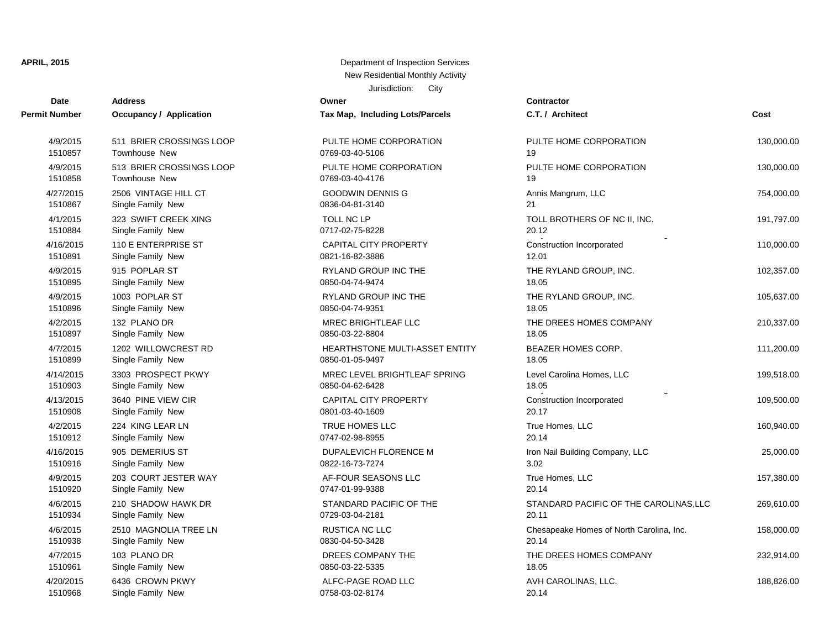| Date                 | <b>Address</b>                 | Owner                           | Contractor                               |            |
|----------------------|--------------------------------|---------------------------------|------------------------------------------|------------|
| <b>Permit Number</b> | <b>Occupancy / Application</b> | Tax Map, Including Lots/Parcels | C.T. / Architect                         | Cost       |
| 4/9/2015             | 511 BRIER CROSSINGS LOOP       | PULTE HOME CORPORATION          | PULTE HOME CORPORATION                   | 130,000.00 |
| 1510857              | Townhouse New                  | 0769-03-40-5106                 | 19                                       |            |
| 4/9/2015             | 513 BRIER CROSSINGS LOOP       | PULTE HOME CORPORATION          | PULTE HOME CORPORATION                   | 130,000.00 |
| 1510858              | <b>Townhouse New</b>           | 0769-03-40-4176                 | 19                                       |            |
| 4/27/2015            | 2506 VINTAGE HILL CT           | <b>GOODWIN DENNIS G</b>         | Annis Mangrum, LLC                       | 754,000.00 |
| 1510867              | Single Family New              | 0836-04-81-3140                 | 21                                       |            |
| 4/1/2015             | 323 SWIFT CREEK XING           | TOLL NC LP                      | TOLL BROTHERS OF NC II, INC.             | 191,797.00 |
| 1510884              | Single Family New              | 0717-02-75-8228                 | 20.12                                    |            |
| 4/16/2015            | 110 E ENTERPRISE ST            | <b>CAPITAL CITY PROPERTY</b>    | Construction Incorporated                | 110,000.00 |
| 1510891              | Single Family New              | 0821-16-82-3886                 | 12.01                                    |            |
| 4/9/2015             | 915 POPLAR ST                  | RYLAND GROUP INC THE            | THE RYLAND GROUP, INC.                   | 102,357.00 |
| 1510895              | Single Family New              | 0850-04-74-9474                 | 18.05                                    |            |
| 4/9/2015             | 1003 POPLAR ST                 | <b>RYLAND GROUP INC THE</b>     | THE RYLAND GROUP, INC.                   | 105,637.00 |
| 1510896              | Single Family New              | 0850-04-74-9351                 | 18.05                                    |            |
| 4/2/2015             | 132 PLANO DR                   | MREC BRIGHTLEAF LLC             | THE DREES HOMES COMPANY                  | 210,337.00 |
| 1510897              | Single Family New              | 0850-03-22-8804                 | 18.05                                    |            |
| 4/7/2015             | 1202 WILLOWCREST RD            | HEARTHSTONE MULTI-ASSET ENTITY  | <b>BEAZER HOMES CORP.</b>                | 111,200.00 |
| 1510899              | Single Family New              | 0850-01-05-9497                 | 18.05                                    |            |
| 4/14/2015            | 3303 PROSPECT PKWY             | MREC LEVEL BRIGHTLEAF SPRING    | Level Carolina Homes, LLC                | 199,518.00 |
| 1510903              | Single Family New              | 0850-04-62-6428                 | 18.05                                    |            |
| 4/13/2015            | 3640 PINE VIEW CIR             | <b>CAPITAL CITY PROPERTY</b>    | Construction Incorporated                | 109,500.00 |
| 1510908              | Single Family New              | 0801-03-40-1609                 | 20.17                                    |            |
| 4/2/2015             | 224 KING LEAR LN               | TRUE HOMES LLC                  | True Homes, LLC                          | 160,940.00 |
| 1510912              | Single Family New              | 0747-02-98-8955                 | 20.14                                    |            |
| 4/16/2015            | 905 DEMERIUS ST                | DUPALEVICH FLORENCE M           | Iron Nail Building Company, LLC          | 25,000.00  |
| 1510916              | Single Family New              | 0822-16-73-7274                 | 3.02                                     |            |
| 4/9/2015             | 203 COURT JESTER WAY           | AF-FOUR SEASONS LLC             | True Homes, LLC                          | 157,380.00 |
| 1510920              | Single Family New              | 0747-01-99-9388                 | 20.14                                    |            |
| 4/6/2015             | 210 SHADOW HAWK DR             | STANDARD PACIFIC OF THE         | STANDARD PACIFIC OF THE CAROLINAS, LLC   | 269,610.00 |
| 1510934              | Single Family New              | 0729-03-04-2181                 | 20.11                                    |            |
| 4/6/2015             | 2510 MAGNOLIA TREE LN          | <b>RUSTICA NC LLC</b>           | Chesapeake Homes of North Carolina, Inc. | 158,000.00 |
| 1510938              | Single Family New              | 0830-04-50-3428                 | 20.14                                    |            |
| 4/7/2015             | 103 PLANO DR                   | DREES COMPANY THE               | THE DREES HOMES COMPANY                  | 232,914.00 |
| 1510961              | Single Family New              | 0850-03-22-5335                 | 18.05                                    |            |
| 4/20/2015            | 6436 CROWN PKWY                | ALFC-PAGE ROAD LLC              | AVH CAROLINAS, LLC.                      | 188,826.00 |
| 1510968              | Single Family New              | 0758-03-02-8174                 | 20.14                                    |            |

| C.T. / Architect                                  | Cost       |
|---------------------------------------------------|------------|
| PULTE HOME CORPORATION<br>19                      | 130,000.00 |
| PULTE HOME CORPORATION<br>19                      | 130,000.00 |
| Annis Mangrum, LLC<br>21                          | 754,000.00 |
| TOLL BROTHERS OF NC II, INC.<br>20.12             | 191,797.00 |
| Construction Incorporated<br>12.01                | 110,000.00 |
| THE RYLAND GROUP, INC.<br>18.05                   | 102,357.00 |
| THE RYLAND GROUP, INC.<br>18.05                   | 105,637.00 |
| THE DREES HOMES COMPANY<br>18.05                  | 210,337.00 |
| <b>BEAZER HOMES CORP.</b><br>18.05                | 111,200.00 |
| Level Carolina Homes, LLC<br>18.05                | 199,518.00 |
| Construction Incorporated<br>20.17                | 109,500.00 |
| True Homes, LLC<br>20.14                          | 160,940.00 |
| Iron Nail Building Company, LLC<br>3.02           | 25,000.00  |
| True Homes, LLC<br>20.14                          | 157,380.00 |
| STANDARD PACIFIC OF THE CAROLINAS, LLC<br>20.11   | 269,610.00 |
| Chesapeake Homes of North Carolina, Inc.<br>20.14 | 158,000.00 |
| THE DREES HOMES COMPANY<br>18.05                  | 232,914.00 |
| AVH CAROLINAS, LLC.                               | 188,826.00 |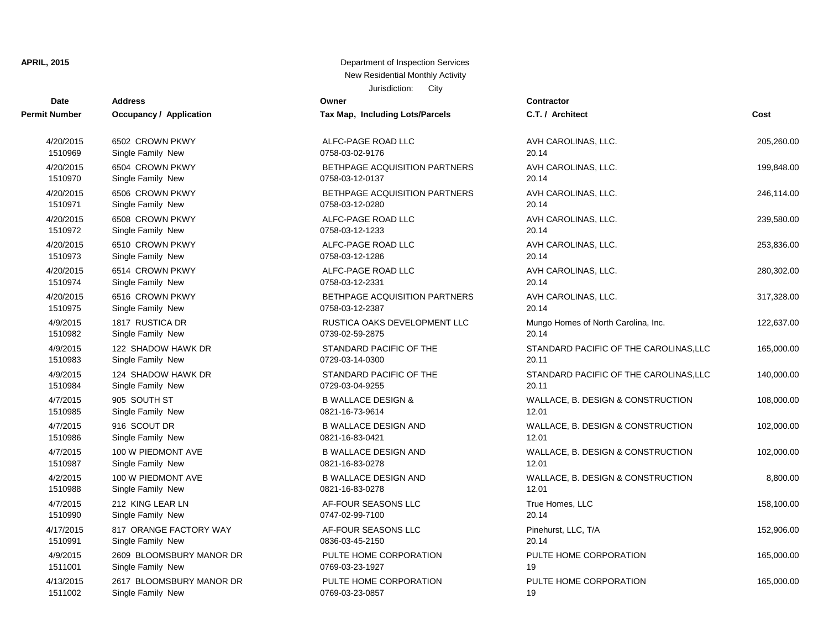| Date          | <b>Address</b>                 | Owner                           | <b>Contractor</b>                      |            |
|---------------|--------------------------------|---------------------------------|----------------------------------------|------------|
| Permit Number | <b>Occupancy / Application</b> | Tax Map, Including Lots/Parcels | C.T. / Architect                       | Cost       |
| 4/20/2015     | 6502 CROWN PKWY                | ALFC-PAGE ROAD LLC              | AVH CAROLINAS, LLC.                    | 205,260.00 |
| 1510969       | Single Family New              | 0758-03-02-9176                 | 20.14                                  |            |
| 4/20/2015     | 6504 CROWN PKWY                | BETHPAGE ACQUISITION PARTNERS   | AVH CAROLINAS, LLC.                    | 199,848.00 |
| 1510970       | Single Family New              | 0758-03-12-0137                 | 20.14                                  |            |
| 4/20/2015     | 6506 CROWN PKWY                | BETHPAGE ACQUISITION PARTNERS   | AVH CAROLINAS, LLC.                    | 246,114.00 |
| 1510971       | Single Family New              | 0758-03-12-0280                 | 20.14                                  |            |
| 4/20/2015     | 6508 CROWN PKWY                | ALFC-PAGE ROAD LLC              | AVH CAROLINAS, LLC.                    | 239,580.00 |
| 1510972       | Single Family New              | 0758-03-12-1233                 | 20.14                                  |            |
| 4/20/2015     | 6510 CROWN PKWY                | ALFC-PAGE ROAD LLC              | AVH CAROLINAS, LLC.                    | 253,836.00 |
| 1510973       | Single Family New              | 0758-03-12-1286                 | 20.14                                  |            |
| 4/20/2015     | 6514 CROWN PKWY                | ALFC-PAGE ROAD LLC              | AVH CAROLINAS, LLC.                    | 280,302.00 |
| 1510974       | Single Family New              | 0758-03-12-2331                 | 20.14                                  |            |
| 4/20/2015     | 6516 CROWN PKWY                | BETHPAGE ACQUISITION PARTNERS   | AVH CAROLINAS, LLC.                    | 317,328.00 |
| 1510975       | Single Family New              | 0758-03-12-2387                 | 20.14                                  |            |
| 4/9/2015      | 1817 RUSTICA DR                | RUSTICA OAKS DEVELOPMENT LLC    | Mungo Homes of North Carolina, Inc.    | 122,637.00 |
| 1510982       | Single Family New              | 0739-02-59-2875                 | 20.14                                  |            |
| 4/9/2015      | 122 SHADOW HAWK DR             | STANDARD PACIFIC OF THE         | STANDARD PACIFIC OF THE CAROLINAS, LLC | 165,000.00 |
| 1510983       | Single Family New              | 0729-03-14-0300                 | 20.11                                  |            |
| 4/9/2015      | 124 SHADOW HAWK DR             | STANDARD PACIFIC OF THE         | STANDARD PACIFIC OF THE CAROLINAS, LLC | 140,000.00 |
| 1510984       | Single Family New              | 0729-03-04-9255                 | 20.11                                  |            |
| 4/7/2015      | 905 SOUTH ST                   | <b>B WALLACE DESIGN &amp;</b>   | WALLACE, B. DESIGN & CONSTRUCTION      | 108,000.00 |
| 1510985       | Single Family New              | 0821-16-73-9614                 | 12.01                                  |            |
| 4/7/2015      | 916 SCOUT DR                   | <b>B WALLACE DESIGN AND</b>     | WALLACE, B. DESIGN & CONSTRUCTION      | 102,000.00 |
| 1510986       | Single Family New              | 0821-16-83-0421                 | 12.01                                  |            |
| 4/7/2015      | 100 W PIEDMONT AVE             | <b>B WALLACE DESIGN AND</b>     | WALLACE, B. DESIGN & CONSTRUCTION      | 102,000.00 |
| 1510987       | Single Family New              | 0821-16-83-0278                 | 12.01                                  |            |
| 4/2/2015      | 100 W PIEDMONT AVE             | <b>B WALLACE DESIGN AND</b>     | WALLACE, B. DESIGN & CONSTRUCTION      | 8,800.00   |
| 1510988       | Single Family New              | 0821-16-83-0278                 | 12.01                                  |            |
| 4/7/2015      | 212 KING LEAR LN               | AF-FOUR SEASONS LLC             | True Homes, LLC                        | 158,100.00 |
| 1510990       | Single Family New              | 0747-02-99-7100                 | 20.14                                  |            |
| 4/17/2015     | 817 ORANGE FACTORY WAY         | AF-FOUR SEASONS LLC             | Pinehurst, LLC, T/A                    | 152,906.00 |
| 1510991       | Single Family New              | 0836-03-45-2150                 | 20.14                                  |            |
| 4/9/2015      | 2609 BLOOMSBURY MANOR DR       | PULTE HOME CORPORATION          | PULTE HOME CORPORATION                 | 165,000.00 |
| 1511001       | Single Family New              | 0769-03-23-1927                 | 19                                     |            |
| 4/13/2015     | 2617 BLOOMSBURY MANOR DR       | PULTE HOME CORPORATION          | PULTE HOME CORPORATION                 | 165,000.00 |
| 1511002       | Single Family New              | 0769-03-23-0857                 | 19                                     |            |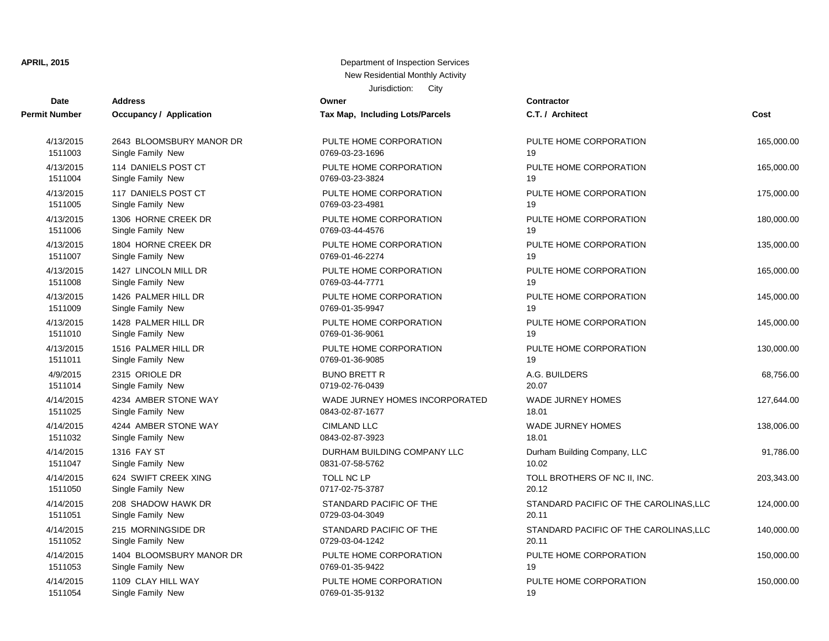| Date                 | <b>Address</b>           | Owner                           | <b>Contractor</b>                      |            |
|----------------------|--------------------------|---------------------------------|----------------------------------------|------------|
| <b>Permit Number</b> | Occupancy / Application  | Tax Map, Including Lots/Parcels | C.T. / Architect                       | Cost       |
| 4/13/2015            | 2643 BLOOMSBURY MANOR DR | PULTE HOME CORPORATION          | PULTE HOME CORPORATION                 | 165,000.00 |
| 1511003              | Single Family New        | 0769-03-23-1696                 | 19                                     |            |
| 4/13/2015            | 114 DANIELS POST CT      | PULTE HOME CORPORATION          | PULTE HOME CORPORATION                 | 165,000.00 |
| 1511004              | Single Family New        | 0769-03-23-3824                 | 19                                     |            |
| 4/13/2015            | 117 DANIELS POST CT      | PULTE HOME CORPORATION          | PULTE HOME CORPORATION                 | 175,000.00 |
| 1511005              | Single Family New        | 0769-03-23-4981                 | 19                                     |            |
| 4/13/2015            | 1306 HORNE CREEK DR      | PULTE HOME CORPORATION          | PULTE HOME CORPORATION                 | 180,000.00 |
| 1511006              | Single Family New        | 0769-03-44-4576                 | 19                                     |            |
| 4/13/2015            | 1804 HORNE CREEK DR      | PULTE HOME CORPORATION          | PULTE HOME CORPORATION                 | 135,000.00 |
| 1511007              | Single Family New        | 0769-01-46-2274                 | 19                                     |            |
| 4/13/2015            | 1427 LINCOLN MILL DR     | PULTE HOME CORPORATION          | PULTE HOME CORPORATION                 | 165,000.00 |
| 1511008              | Single Family New        | 0769-03-44-7771                 | 19                                     |            |
| 4/13/2015            | 1426 PALMER HILL DR      | PULTE HOME CORPORATION          | PULTE HOME CORPORATION                 | 145,000.00 |
| 1511009              | Single Family New        | 0769-01-35-9947                 | 19                                     |            |
| 4/13/2015            | 1428 PALMER HILL DR      | PULTE HOME CORPORATION          | PULTE HOME CORPORATION                 | 145,000.00 |
| 1511010              | Single Family New        | 0769-01-36-9061                 | 19                                     |            |
| 4/13/2015            | 1516 PALMER HILL DR      | PULTE HOME CORPORATION          | PULTE HOME CORPORATION                 | 130,000.00 |
| 1511011              | Single Family New        | 0769-01-36-9085                 | 19                                     |            |
| 4/9/2015             | 2315 ORIOLE DR           | <b>BUNO BRETT R</b>             | A.G. BUILDERS                          | 68,756.00  |
| 1511014              | Single Family New        | 0719-02-76-0439                 | 20.07                                  |            |
| 4/14/2015            | 4234 AMBER STONE WAY     | WADE JURNEY HOMES INCORPORATED  | <b>WADE JURNEY HOMES</b>               | 127,644.00 |
| 1511025              | Single Family New        | 0843-02-87-1677                 | 18.01                                  |            |
| 4/14/2015            | 4244 AMBER STONE WAY     | <b>CIMLAND LLC</b>              | <b>WADE JURNEY HOMES</b>               | 138,006.00 |
| 1511032              | Single Family New        | 0843-02-87-3923                 | 18.01                                  |            |
| 4/14/2015            | 1316 FAY ST              | DURHAM BUILDING COMPANY LLC     | Durham Building Company, LLC           | 91,786.00  |
| 1511047              | Single Family New        | 0831-07-58-5762                 | 10.02                                  |            |
| 4/14/2015            | 624 SWIFT CREEK XING     | TOLL NC LP                      | TOLL BROTHERS OF NC II, INC.           | 203,343.00 |
| 1511050              | Single Family New        | 0717-02-75-3787                 | 20.12                                  |            |
| 4/14/2015            | 208 SHADOW HAWK DR       | STANDARD PACIFIC OF THE         | STANDARD PACIFIC OF THE CAROLINAS, LLC | 124,000.00 |
| 1511051              | Single Family New        | 0729-03-04-3049                 | 20.11                                  |            |
| 4/14/2015            | 215 MORNINGSIDE DR       | STANDARD PACIFIC OF THE         | STANDARD PACIFIC OF THE CAROLINAS, LLC | 140,000.00 |
| 1511052              | Single Family New        | 0729-03-04-1242                 | 20.11                                  |            |
| 4/14/2015            | 1404 BLOOMSBURY MANOR DR | PULTE HOME CORPORATION          | PULTE HOME CORPORATION                 | 150,000.00 |
| 1511053              | Single Family New        | 0769-01-35-9422                 | 19                                     |            |
| 4/14/2015            | 1109 CLAY HILL WAY       | PULTE HOME CORPORATION          | PULTE HOME CORPORATION                 | 150,000.00 |
| 1511054              | Single Family New        | 0769-01-35-9132                 | 19                                     |            |
|                      |                          |                                 |                                        |            |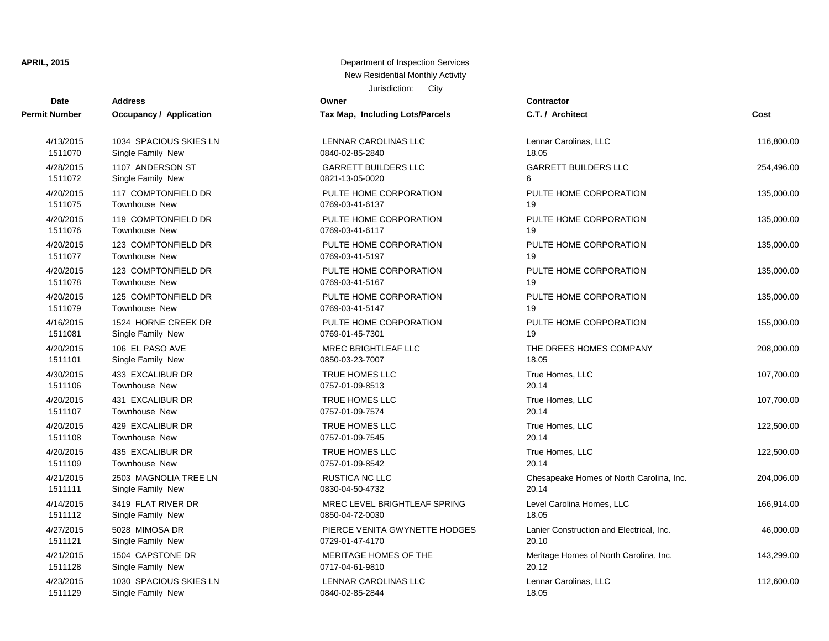| <b>Date</b>          | <b>Address</b>                 | Owner                           | Contractor           |
|----------------------|--------------------------------|---------------------------------|----------------------|
| <b>Permit Number</b> | <b>Occupancy / Application</b> | Tax Map, Including Lots/Parcels | C.T. / Arch          |
| 4/13/2015            | 1034 SPACIOUS SKIES LN         | <b>LENNAR CAROLINAS LLC</b>     | Lennar Car           |
| 1511070              | Single Family New              | 0840-02-85-2840                 | 18.05                |
| 4/28/2015            | 1107 ANDERSON ST               | <b>GARRETT BUILDERS LLC</b>     | <b>GARRETT</b>       |
| 1511072              | Single Family New              | 0821-13-05-0020                 | 6                    |
| 4/20/2015            | 117 COMPTONFIELD DR            | PULTE HOME CORPORATION          | PULTE HO             |
| 1511075              | <b>Townhouse New</b>           | 0769-03-41-6137                 | 19                   |
| 4/20/2015            | 119 COMPTONFIELD DR            | PULTE HOME CORPORATION          | PULTE HO             |
| 1511076              | <b>Townhouse New</b>           | 0769-03-41-6117                 | 19                   |
| 4/20/2015            | 123 COMPTONFIELD DR            | PULTE HOME CORPORATION          | PULTE HO             |
| 1511077              | <b>Townhouse New</b>           | 0769-03-41-5197                 | 19                   |
| 4/20/2015            | 123 COMPTONFIELD DR            | PULTE HOME CORPORATION          | PULTE HO             |
| 1511078              | <b>Townhouse New</b>           | 0769-03-41-5167                 | 19                   |
| 4/20/2015            | 125 COMPTONFIELD DR            | PULTE HOME CORPORATION          | PULTE HO             |
| 1511079              | <b>Townhouse New</b>           | 0769-03-41-5147                 | 19                   |
| 4/16/2015            | 1524 HORNE CREEK DR            | PULTE HOME CORPORATION          | PULTE HO             |
| 1511081              | Single Family New              | 0769-01-45-7301                 | 19                   |
| 4/20/2015            | 106 EL PASO AVE                | MREC BRIGHTLEAF LLC             | THE DREE             |
| 1511101              | Single Family New              | 0850-03-23-7007                 | 18.05                |
| 4/30/2015            | 433 EXCALIBUR DR               | TRUE HOMES LLC                  | True Home            |
| 1511106              | <b>Townhouse New</b>           | 0757-01-09-8513                 | 20.14                |
| 4/20/2015            | 431 EXCALIBUR DR               | <b>TRUE HOMES LLC</b>           | True Home            |
| 1511107              | Townhouse New                  | 0757-01-09-7574                 | 20.14                |
| 4/20/2015            | 429 EXCALIBUR DR               | TRUE HOMES LLC                  | <b>True Home</b>     |
| 1511108              | <b>Townhouse New</b>           | 0757-01-09-7545                 | 20.14                |
| 4/20/2015            | 435 EXCALIBUR DR               | <b>TRUE HOMES LLC</b>           | True Home            |
| 1511109              | Townhouse New                  | 0757-01-09-8542                 | 20.14                |
| 4/21/2015            | 2503 MAGNOLIA TREE LN          | RUSTICA NC LLC                  | Chesapeak            |
| 1511111              | Single Family New              | 0830-04-50-4732                 | 20.14                |
| 4/14/2015            | 3419 FLAT RIVER DR             | MREC LEVEL BRIGHTLEAF SPRING    | <b>Level Carol</b>   |
| 1511112              | Single Family New              | 0850-04-72-0030                 | 18.05                |
| 4/27/2015            | 5028 MIMOSA DR                 | PIERCE VENITA GWYNETTE HODGES   | Lanier Cons          |
| 1511121              | Single Family New              | 0729-01-47-4170                 | 20.10                |
| 4/21/2015            | 1504 CAPSTONE DR               | MERITAGE HOMES OF THE           | Meritage H           |
| 1511128              | Single Family New              | 0717-04-61-9810                 | 20.12                |
| 4/23/2015            | 1030 SPACIOUS SKIES LN         | LENNAR CAROLINAS LLC            | Lennar Car           |
| $-11100$             |                                | 0.0100000000001                 | $\sim$ $\sim$ $\sim$ |

| 4/13/2015 | 1034 SPACIOUS SKIES LN | LENNAR CAROLINAS LLC          | Lenna       |
|-----------|------------------------|-------------------------------|-------------|
| 1511070   | Single Family New      | 0840-02-85-2840               | 18.05       |
| 4/28/2015 | 1107 ANDERSON ST       | <b>GARRETT BUILDERS LLC</b>   | GARF        |
| 1511072   | Single Family New      | 0821-13-05-0020               | 6           |
| 4/20/2015 | 117 COMPTONFIELD DR    | PULTE HOME CORPORATION        | <b>PULT</b> |
| 1511075   | <b>Townhouse New</b>   | 0769-03-41-6137               | 19          |
| 4/20/2015 | 119 COMPTONFIELD DR    | PULTE HOME CORPORATION        | <b>PULT</b> |
| 1511076   | Townhouse New          | 0769-03-41-6117               | 19          |
| 4/20/2015 | 123 COMPTONFIELD DR    | PULTE HOME CORPORATION        | <b>PULT</b> |
| 1511077   | <b>Townhouse New</b>   | 0769-03-41-5197               | 19          |
| 4/20/2015 | 123 COMPTONFIELD DR    | PULTE HOME CORPORATION        | <b>PULT</b> |
| 1511078   | Townhouse New          | 0769-03-41-5167               | 19          |
| 4/20/2015 | 125 COMPTONFIELD DR    | PULTE HOME CORPORATION        | <b>PULT</b> |
| 1511079   | Townhouse New          | 0769-03-41-5147               | 19          |
| 4/16/2015 | 1524 HORNE CREEK DR    | PULTE HOME CORPORATION        | <b>PULT</b> |
| 1511081   | Single Family New      | 0769-01-45-7301               | 19          |
| 4/20/2015 | 106 EL PASO AVE        | <b>MREC BRIGHTLEAF LLC</b>    | THE I       |
| 1511101   | Single Family New      | 0850-03-23-7007               | 18.05       |
| 4/30/2015 | 433 EXCALIBUR DR       | <b>TRUE HOMES LLC</b>         | True I      |
| 1511106   | Townhouse New          | 0757-01-09-8513               | 20.14       |
| 4/20/2015 | 431 EXCALIBUR DR       | TRUE HOMES LLC                | True I      |
| 1511107   | Townhouse New          | 0757-01-09-7574               | 20.14       |
| 4/20/2015 | 429 EXCALIBUR DR       | <b>TRUE HOMES LLC</b>         | True I      |
| 1511108   | <b>Townhouse New</b>   | 0757-01-09-7545               | 20.14       |
| 4/20/2015 | 435 EXCALIBUR DR       | TRUE HOMES LLC                | True I      |
| 1511109   | <b>Townhouse New</b>   | 0757-01-09-8542               | 20.14       |
| 4/21/2015 | 2503 MAGNOLIA TREE LN  | RUSTICA NC LLC                | Chesa       |
| 1511111   | Single Family New      | 0830-04-50-4732               | 20.14       |
| 4/14/2015 | 3419 FLAT RIVER DR     | MREC LEVEL BRIGHTLEAF SPRING  | Level       |
| 1511112   | Single Family New      | 0850-04-72-0030               | 18.05       |
| 4/27/2015 | 5028 MIMOSA DR         | PIERCE VENITA GWYNETTE HODGES | Lanier      |
| 1511121   | Single Family New      | 0729-01-47-4170               | 20.10       |
| 4/21/2015 | 1504 CAPSTONE DR       | MERITAGE HOMES OF THE         | Merita      |
| 1511128   | Single Family New      | 0717-04-61-9810               | 20.12       |
| 4/23/2015 | 1030 SPACIOUS SKIES LN | <b>LENNAR CAROLINAS LLC</b>   | Lenna       |
| 1511129   | Single Family New      | 0840-02-85-2844               | 18.05       |

| <b>Number</b> | <b>Occupancy / Application</b> | Tax Map, Including Lots/Parcels | C.T. / Architect                         | Cost       |
|---------------|--------------------------------|---------------------------------|------------------------------------------|------------|
| 4/13/2015     | 1034 SPACIOUS SKIES LN         | LENNAR CAROLINAS LLC            | Lennar Carolinas, LLC                    | 116,800.00 |
| 1511070       | Single Family New              | 0840-02-85-2840                 | 18.05                                    |            |
| 4/28/2015     | 1107 ANDERSON ST               | <b>GARRETT BUILDERS LLC</b>     | <b>GARRETT BUILDERS LLC</b>              | 254,496.00 |
| 1511072       | Single Family New              | 0821-13-05-0020                 | 6                                        |            |
| 4/20/2015     | 117 COMPTONFIELD DR            | PULTE HOME CORPORATION          | PULTE HOME CORPORATION                   | 135,000.00 |
| 1511075       | Townhouse New                  | 0769-03-41-6137                 | 19                                       |            |
| 4/20/2015     | 119 COMPTONFIELD DR            | PULTE HOME CORPORATION          | PULTE HOME CORPORATION                   | 135,000.00 |
| 1511076       | Townhouse New                  | 0769-03-41-6117                 | 19                                       |            |
| 4/20/2015     | 123 COMPTONFIELD DR            | PULTE HOME CORPORATION          | PULTE HOME CORPORATION                   | 135,000.00 |
| 1511077       | Townhouse New                  | 0769-03-41-5197                 | 19                                       |            |
| 4/20/2015     | 123 COMPTONFIELD DR            | PULTE HOME CORPORATION          | PULTE HOME CORPORATION                   | 135,000.00 |
| 1511078       | Townhouse New                  | 0769-03-41-5167                 | 19                                       |            |
| 4/20/2015     | 125 COMPTONFIELD DR            | PULTE HOME CORPORATION          | PULTE HOME CORPORATION                   | 135,000.00 |
| 1511079       | Townhouse New                  | 0769-03-41-5147                 | 19                                       |            |
| 4/16/2015     | 1524 HORNE CREEK DR            | PULTE HOME CORPORATION          | PULTE HOME CORPORATION                   | 155,000.00 |
| 1511081       | Single Family New              | 0769-01-45-7301                 | 19                                       |            |
| 4/20/2015     | 106 EL PASO AVE                | <b>MREC BRIGHTLEAF LLC</b>      | THE DREES HOMES COMPANY                  | 208,000.00 |
| 1511101       | Single Family New              | 0850-03-23-7007                 | 18.05                                    |            |
| 4/30/2015     | 433 EXCALIBUR DR               | TRUE HOMES LLC                  | True Homes, LLC                          | 107,700.00 |
| 1511106       | Townhouse New                  | 0757-01-09-8513                 | 20.14                                    |            |
| 4/20/2015     | 431 EXCALIBUR DR               | TRUE HOMES LLC                  | True Homes, LLC                          | 107,700.00 |
| 1511107       | Townhouse New                  | 0757-01-09-7574                 | 20.14                                    |            |
| 4/20/2015     | 429 EXCALIBUR DR               | TRUE HOMES LLC                  | True Homes, LLC                          | 122,500.00 |
| 1511108       | Townhouse New                  | 0757-01-09-7545                 | 20.14                                    |            |
| 4/20/2015     | 435 EXCALIBUR DR               | TRUE HOMES LLC                  | True Homes, LLC                          | 122,500.00 |
| 1511109       | Townhouse New                  | 0757-01-09-8542                 | 20.14                                    |            |
| 4/21/2015     | 2503 MAGNOLIA TREE LN          | <b>RUSTICA NC LLC</b>           | Chesapeake Homes of North Carolina, Inc. | 204,006.00 |
| 1511111       | Single Family New              | 0830-04-50-4732                 | 20.14                                    |            |
| 4/14/2015     | 3419 FLAT RIVER DR             | MREC LEVEL BRIGHTLEAF SPRING    | Level Carolina Homes, LLC                | 166,914.00 |
| 1511112       | Single Family New              | 0850-04-72-0030                 | 18.05                                    |            |
| 4/27/2015     | 5028 MIMOSA DR                 | PIERCE VENITA GWYNETTE HODGES   | Lanier Construction and Electrical, Inc. | 46,000.00  |
| 1511121       | Single Family New              | 0729-01-47-4170                 | 20.10                                    |            |
| 4/21/2015     | 1504 CAPSTONE DR               | MERITAGE HOMES OF THE           | Meritage Homes of North Carolina, Inc.   | 143,299.00 |
| 1511128       | Single Family New              | 0717-04-61-9810                 | 20.12                                    |            |
| 4/23/2015     | 1030 SPACIOUS SKIES LN         | LENNAR CAROLINAS LLC            | Lennar Carolinas, LLC                    | 112,600.00 |
| 1511120       | Single Family New              | 0840-02-85-2844                 | 18.05                                    |            |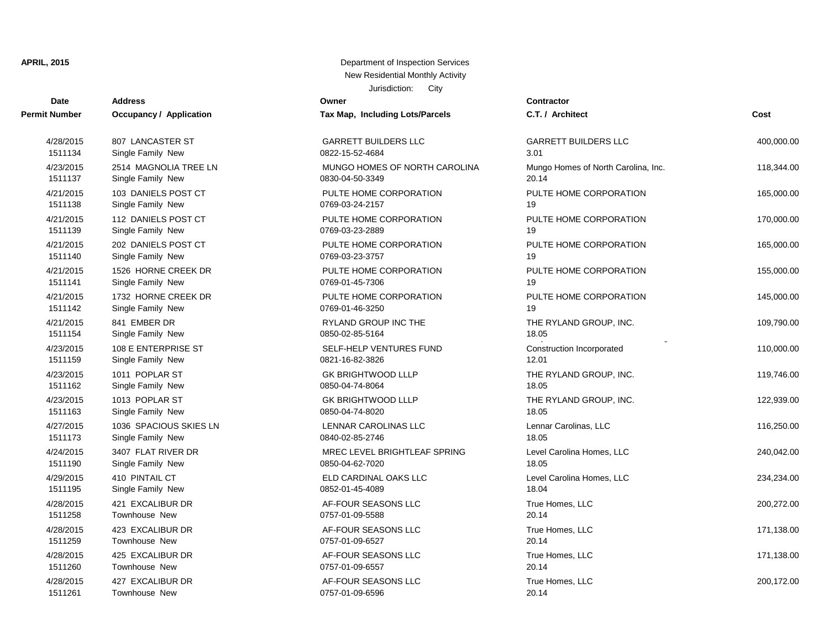## **Date Contractor Address Owner Permit Number Occupancy / Application Tax Map, Including Lots/Parcels** 1511261 Townhouse New 0757-01-09-6596 20.14 1511260 Townhouse New 2012 1511260 0757-01-09-6557 4/28/2015 427 EXCALIBUR DR AF-FOUR SEASONS LLC 1511259 Townhouse New 2008 1511259 Townhouse New 2009 1698 2009 16:00:00 16:00:00 4/28/2015 425 EXCALIBUR DR 420 AF-FOUR SEASONS LLC 1511258 Townhouse New 2008 2012 2014 0757-01-09-5588 4/28/2015 423 EXCALIBUR DR AF-FOUR SEASONS LLC 1511195 Single Family New 2008 1912 1511195 0852-01-45-4089 4/28/2015 421 EXCALIBUR DR 420 AF-FOUR SEASONS LLC 1511190 Single Family New 2008 0850-04-62-7020 4/29/2015 410 PINTAIL CT Annual Level Carolina Homes, Level Carolina Homes, Level Carolina Homes, Level 234, 2 1511173 Single Family New 0840-02-85-2746 4/24/2015 3407 FLAT RIVER DR MREC LEVEL BRIGHTLEAF SPRING 1511163 Single Family New 2008 1511163 0850-04-74-8020 4/27/2015 1036 SPACIOUS SKIES LN LENNAR CAROLINAS LLC 1511162 Single Family New 2008 1511162 0850-04-74-8064 4/23/2015 1013 POPLAR ST GK BRIGHTWOOD LLLP 1511159 Single Family New 2012 12.01 0821-16-82-3826 1511154 Single Family New 2008 1511154 0850-02-85-5164 4/23/2015 108 E ENTERPRISE ST SELF-HELP VENTURES FUND 1511142 Single Family New 0769-01-46-3250 19 4/21/2015 841 EMBER DR RYLAND GROUP INC THE 1511141 Single Family New 2012 1511141 0769-01-45-7306 4/21/2015 1732 HORNE CREEK DR PULTE HOME CORPORATION 1511140 Single Family New 2010 10:00:00 0769-03-23-3757 4/21/2015 1526 HORNE CREEK DR PULTE HOME CORPORATION 1511139 Single Family New 2012 19:00:00 0769-03-23-2889 4/21/2015 202 DANIELS POST CT PULTE HOME CORPORATION 1511138 Single Family New 0769-03-24-2157 4/21/2015 112 DANIELS POST CT PULTE HOME CORPORATION 1511137 Single Family New 0830-04-50-3349 20.14 1/21/2015 103 DANIELS POST CT PULTE HOME CORPORATION 1511134 Single Family New 2012 10822-15-52-4684 4/23/2015 2514 MAGNOLIA TREE LN MUNGO HOMES OF NORTH CAROLINA 4/28/2015 807 LANCASTER ST GARRETT BUILDERS LLC

| <b>Number</b> | <b>Occupancy / Application</b> | Tax Map, Including Lots/Parcels | C.T. / Architect                    | Cost       |
|---------------|--------------------------------|---------------------------------|-------------------------------------|------------|
| 4/28/2015     | 807 LANCASTER ST               | <b>GARRETT BUILDERS LLC</b>     | <b>GARRETT BUILDERS LLC</b>         | 400,000.00 |
| 1511134       | Single Family New              | 0822-15-52-4684                 | 3.01                                |            |
| 4/23/2015     | 2514 MAGNOLIA TREE LN          | MUNGO HOMES OF NORTH CAROLINA   | Mungo Homes of North Carolina, Inc. | 118,344.00 |
| 1511137       | Single Family New              | 0830-04-50-3349                 | 20.14                               |            |
| 4/21/2015     | 103 DANIELS POST CT            | PULTE HOME CORPORATION          | PULTE HOME CORPORATION              | 165,000.00 |
| 1511138       | Single Family New              | 0769-03-24-2157                 | 19                                  |            |
| 4/21/2015     | 112 DANIELS POST CT            | PULTE HOME CORPORATION          | PULTE HOME CORPORATION              | 170,000.00 |
| 1511139       | Single Family New              | 0769-03-23-2889                 | 19                                  |            |
| 4/21/2015     | 202 DANIELS POST CT            | PULTE HOME CORPORATION          | PULTE HOME CORPORATION              | 165,000.00 |
| 1511140       | Single Family New              | 0769-03-23-3757                 | 19                                  |            |
| 4/21/2015     | 1526 HORNE CREEK DR            | PULTE HOME CORPORATION          | PULTE HOME CORPORATION              | 155,000.00 |
| 1511141       | Single Family New              | 0769-01-45-7306                 | 19                                  |            |
| 4/21/2015     | 1732 HORNE CREEK DR            | PULTE HOME CORPORATION          | PULTE HOME CORPORATION              | 145,000.00 |
| 1511142       | Single Family New              | 0769-01-46-3250                 | 19                                  |            |
| 4/21/2015     | 841 EMBER DR                   | RYLAND GROUP INC THE            | THE RYLAND GROUP, INC.              | 109,790.00 |
| 1511154       | Single Family New              | 0850-02-85-5164                 | 18.05                               |            |
| 4/23/2015     | 108 E ENTERPRISE ST            | SELF-HELP VENTURES FUND         | Construction Incorporated           | 110,000.00 |
| 1511159       | Single Family New              | 0821-16-82-3826                 | 12.01                               |            |
| 4/23/2015     | 1011 POPLAR ST                 | <b>GK BRIGHTWOOD LLLP</b>       | THE RYLAND GROUP, INC.              | 119,746.00 |
| 1511162       | Single Family New              | 0850-04-74-8064                 | 18.05                               |            |
| 4/23/2015     | 1013 POPLAR ST                 | <b>GK BRIGHTWOOD LLLP</b>       | THE RYLAND GROUP, INC.              | 122,939.00 |
| 1511163       | Single Family New              | 0850-04-74-8020                 | 18.05                               |            |
| 4/27/2015     | 1036 SPACIOUS SKIES LN         | LENNAR CAROLINAS LLC            | Lennar Carolinas, LLC               | 116,250.00 |
| 1511173       | Single Family New              | 0840-02-85-2746                 | 18.05                               |            |
| 4/24/2015     | 3407 FLAT RIVER DR             | MREC LEVEL BRIGHTLEAF SPRING    | Level Carolina Homes, LLC           | 240,042.00 |
| 1511190       | Single Family New              | 0850-04-62-7020                 | 18.05                               |            |
| 4/29/2015     | 410 PINTAIL CT                 | ELD CARDINAL OAKS LLC           | Level Carolina Homes, LLC           | 234,234.00 |
| 1511195       | Single Family New              | 0852-01-45-4089                 | 18.04                               |            |
| 4/28/2015     | 421 EXCALIBUR DR               | AF-FOUR SEASONS LLC             | True Homes, LLC                     | 200,272.00 |
| 1511258       | Townhouse New                  | 0757-01-09-5588                 | 20.14                               |            |
| 4/28/2015     | 423 EXCALIBUR DR               | AF-FOUR SEASONS LLC             | True Homes, LLC                     | 171,138.00 |
| 1511259       | Townhouse New                  | 0757-01-09-6527                 | 20.14                               |            |
| 4/28/2015     | 425 EXCALIBUR DR               | AF-FOUR SEASONS LLC             | True Homes, LLC                     | 171,138.00 |
| 1511260       | Townhouse New                  | 0757-01-09-6557                 | 20.14                               |            |
| 4/28/2015     | 427 EXCALIBUR DR               | AF-FOUR SEASONS LLC             | True Homes, LLC                     | 200,172.00 |
| 1511261       | Townhouse New                  | 0757-01-09-6596                 | 20.14                               |            |